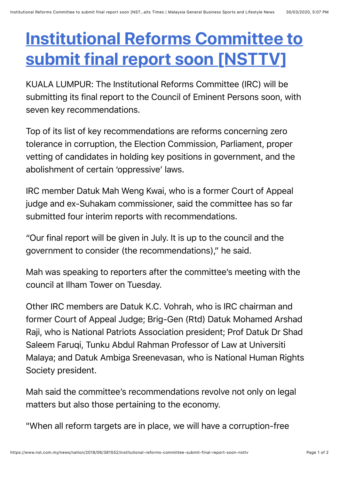## **[Institutional Reforms Committee to](https://web.whatsapp.com/send?text=Institutional%20Reforms%20Committee%20to%20submit%20final%20report%20soon%20%5BNSTTV%5D%20https://www.nst.com.my/news/nation/2018/06/381552/institutional-reforms-committee-submit-final-report-soon-nsttv) submit final report soon [NSTTV]**

KUALA LUMPUR: The Institutional Reforms Committee (IRC) will be submitting its final report to the Council of Eminent Persons soon, with seven key recommendations.

Top of its list of key recommendations are reforms concerning zero tolerance in corruption, the Election Commission, Parliament, proper vetting of candidates in holding key positions in government, and the abolishment of certain 'oppressive' laws.

IRC member Datuk Mah Weng Kwai, who is a former Court of Appeal judge and ex-Suhakam commissioner, said the committee has so far submitted four interim reports with recommendations.

"Our final report will be given in July. It is up to the council and the government to consider (the recommendations)," he said.

Mah was speaking to reporters after the committee's meeting with the council at Ilham Tower on Tuesday.

Other IRC members are Datuk K.C. Vohrah, who is IRC chairman and former Court of Appeal Judge; Brig-Gen (Rtd) Datuk Mohamed Arshad Raji, who is National Patriots Association president; Prof Datuk Dr Shad Saleem Faruqi, Tunku Abdul Rahman Professor of Law at Universiti Malaya; and Datuk Ambiga Sreenevasan, who is National Human Rights Society president.

Mah said the committee's recommendations revolve not only on legal matters but also those pertaining to the economy.

"When all reform targets are in place, we will have a corruption-free